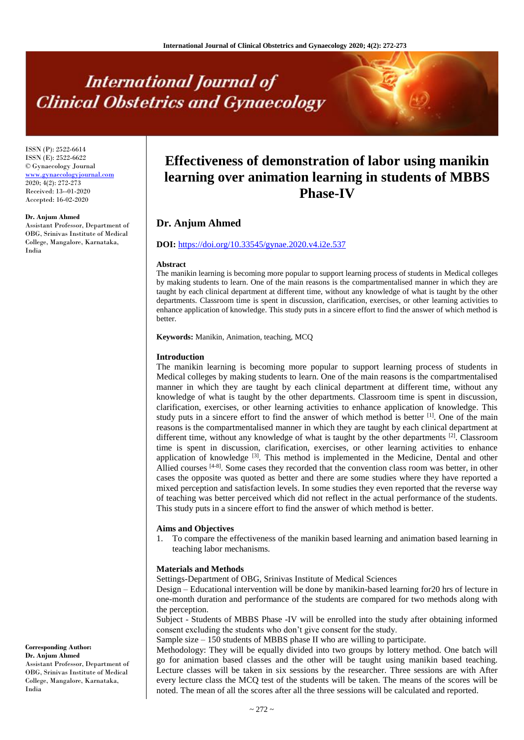# **International Journal of Clinical Obstetrics and Gynaecology**

ISSN (P): 2522-6614 ISSN (E): 2522-6622 © Gynaecology Journal <www.gynaecologyjournal.com> 2020; 4(2): 272-273 Received: 13--01-2020 Accepted: 16-02-2020

#### **Dr. Anjum Ahmed**

Assistant Professor, Department of OBG, Srinivas Institute of Medical College, Mangalore, Karnataka, India

# **Effectiveness of demonstration of labor using manikin learning over animation learning in students of MBBS Phase-IV**

# **Dr. Anjum Ahmed**

#### **DOI:** <https://doi.org/10.33545/gynae.2020.v4.i2e.537>

#### **Abstract**

The manikin learning is becoming more popular to support learning process of students in Medical colleges by making students to learn. One of the main reasons is the compartmentalised manner in which they are taught by each clinical department at different time, without any knowledge of what is taught by the other departments. Classroom time is spent in discussion, clarification, exercises, or other learning activities to enhance application of knowledge. This study puts in a sincere effort to find the answer of which method is better.

**Keywords:** Manikin, Animation, teaching, MCQ

#### **Introduction**

The manikin learning is becoming more popular to support learning process of students in Medical colleges by making students to learn. One of the main reasons is the compartmentalised manner in which they are taught by each clinical department at different time, without any knowledge of what is taught by the other departments. Classroom time is spent in discussion, clarification, exercises, or other learning activities to enhance application of knowledge. This study puts in a sincere effort to find the answer of which method is better  $[1]$ . One of the main reasons is the compartmentalised manner in which they are taught by each clinical department at different time, without any knowledge of what is taught by the other departments <sup>[2]</sup>. Classroom time is spent in discussion, clarification, exercises, or other learning activities to enhance application of knowledge <sup>[3]</sup>. This method is implemented in the Medicine, Dental and other Allied courses  $[4-8]$ . Some cases they recorded that the convention class room was better, in other cases the opposite was quoted as better and there are some studies where they have reported a mixed perception and satisfaction levels. In some studies they even reported that the reverse way of teaching was better perceived which did not reflect in the actual performance of the students. This study puts in a sincere effort to find the answer of which method is better.

#### **Aims and Objectives**

1. To compare the effectiveness of the manikin based learning and animation based learning in teaching labor mechanisms.

#### **Materials and Methods**

Settings-Department of OBG, Srinivas Institute of Medical Sciences

Design – Educational intervention will be done by manikin-based learning for20 hrs of lecture in one-month duration and performance of the students are compared for two methods along with the perception.

Subject - Students of MBBS Phase -IV will be enrolled into the study after obtaining informed consent excluding the students who don't give consent for the study.

Sample size – 150 students of MBBS phase II who are willing to participate.

Methodology: They will be equally divided into two groups by lottery method. One batch will go for animation based classes and the other will be taught using manikin based teaching. Lecture classes will be taken in six sessions by the researcher. Three sessions are with After every lecture class the MCQ test of the students will be taken. The means of the scores will be noted. The mean of all the scores after all the three sessions will be calculated and reported.

**Corresponding Author: Dr. Anjum Ahmed** Assistant Professor, Department of

OBG, Srinivas Institute of Medical College, Mangalore, Karnataka, India